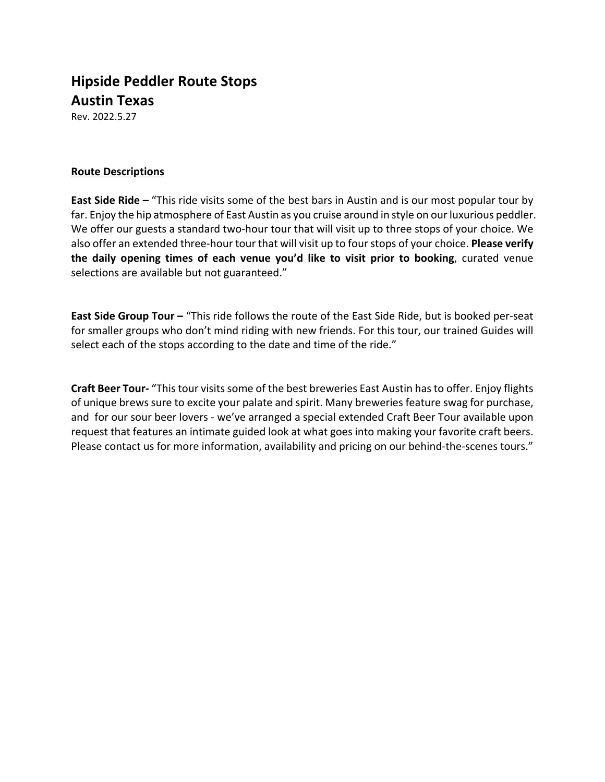# **Hipside Peddler Route Stops Austin Texas**

Rev. 2022.5.27

# **Route Descriptions**

**East Side Ride –** "This ride visits some of the best bars in Austin and is our most popular tour by far. Enjoy the hip atmosphere of East Austin as you cruise around in style on our luxurious peddler. We offer our guests a standard two-hour tour that will visit up to three stops of your choice. We also offer an extended three‐hour tour that will visit up to four stops of your choice. **Please verify the daily opening times of each venue you'd like to visit prior to booking**, curated venue selections are available but not guaranteed."

**East Side Group Tour –** "This ride follows the route of the East Side Ride, but is booked per‐seat for smaller groups who don't mind riding with new friends. For this tour, our trained Guides will select each of the stops according to the date and time of the ride."

**Craft Beer Tour‐** "This tour visits some of the best breweries East Austin has to offer. Enjoy flights of unique brews sure to excite your palate and spirit. Many breweries feature swag for purchase, and for our sour beer lovers ‐ we've arranged a special extended Craft Beer Tour available upon request that features an intimate guided look at what goes into making your favorite craft beers. Please contact us for more information, availability and pricing on our behind-the-scenes tours."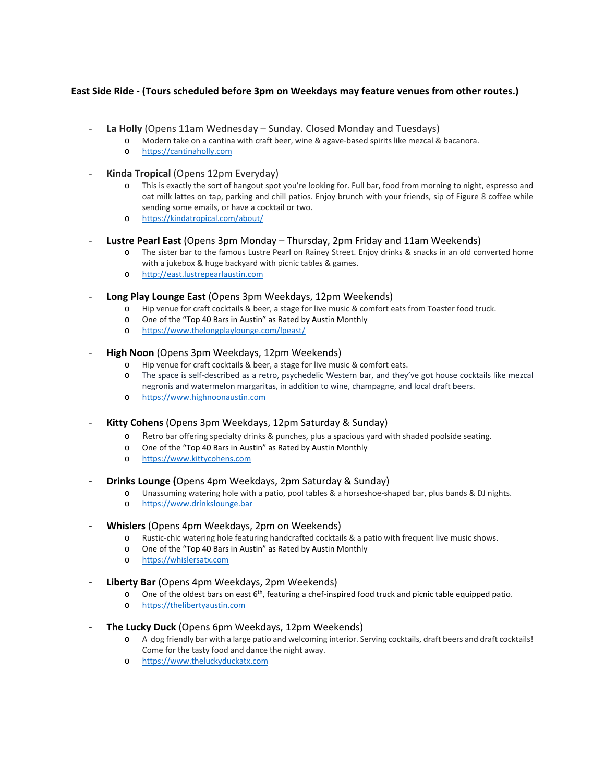## **East Side Ride ‐ (Tours scheduled before 3pm on Weekdays may feature venues from other routes.)**

- ‐ **La Holly** (Opens 11am Wednesday Sunday. Closed Monday and Tuesdays)
	- o Modern take on a cantina with craft beer, wine & agave‐based spirits like mezcal & bacanora.
	- o https://cantinaholly.com
- ‐ **Kinda Tropical** (Opens 12pm Everyday)
	- o This is exactly the sort of hangout spot you're looking for. Full bar, food from morning to night, espresso and oat milk lattes on tap, parking and chill patios. Enjoy brunch with your friends, sip of Figure 8 coffee while sending some emails, or have a cocktail or two.
	- o https://kindatropical.com/about/

## ‐ **Lustre Pearl East** (Opens 3pm Monday – Thursday, 2pm Friday and 11am Weekends)

- o The sister bar to the famous Lustre Pearl on Rainey Street. Enjoy drinks & snacks in an old converted home with a jukebox & huge backyard with picnic tables & games.
- o http://east.lustrepearlaustin.com
- ‐ **Long Play Lounge East** (Opens 3pm Weekdays, 12pm Weekends)
	- o Hip venue for craft cocktails & beer, a stage for live music & comfort eats from Toaster food truck.
	- o One of the "Top 40 Bars in Austin" as Rated by Austin Monthly
	- o https://www.thelongplaylounge.com/lpeast/

#### ‐ **High Noon** (Opens 3pm Weekdays, 12pm Weekends)

- o Hip venue for craft cocktails & beer, a stage for live music & comfort eats.
- o The space is self‐described as a retro, psychedelic Western bar, and they've got house cocktails like mezcal negronis and watermelon margaritas, in addition to wine, champagne, and local draft beers.
- o https://www.highnoonaustin.com
- ‐ **Kitty Cohens** (Opens 3pm Weekdays, 12pm Saturday & Sunday)
	- o Retro bar offering specialty drinks & punches, plus a spacious yard with shaded poolside seating.
	- o One of the "Top 40 Bars in Austin" as Rated by Austin Monthly
	- o https://www.kittycohens.com
- ‐ **Drinks Lounge (**Opens 4pm Weekdays, 2pm Saturday & Sunday)
	- o Unassuming watering hole with a patio, pool tables & a horseshoe‐shaped bar, plus bands & DJ nights.
	- o https://www.drinkslounge.bar

#### ‐ **Whislers** (Opens 4pm Weekdays, 2pm on Weekends)

- o Rustic‐chic watering hole featuring handcrafted cocktails & a patio with frequent live music shows.
- o One of the "Top 40 Bars in Austin" as Rated by Austin Monthly
- o https://whislersatx.com
- ‐ **Liberty Bar** (Opens 4pm Weekdays, 2pm Weekends)
	- $\circ$  One of the oldest bars on east 6<sup>th</sup>, featuring a chef-inspired food truck and picnic table equipped patio.
	- o https://thelibertyaustin.com

#### ‐ **The Lucky Duck** (Opens 6pm Weekdays, 12pm Weekends)

- o A dog friendly bar with a large patio and welcoming interior. Serving cocktails, draft beers and draft cocktails! Come for the tasty food and dance the night away.
- o https://www.theluckyduckatx.com